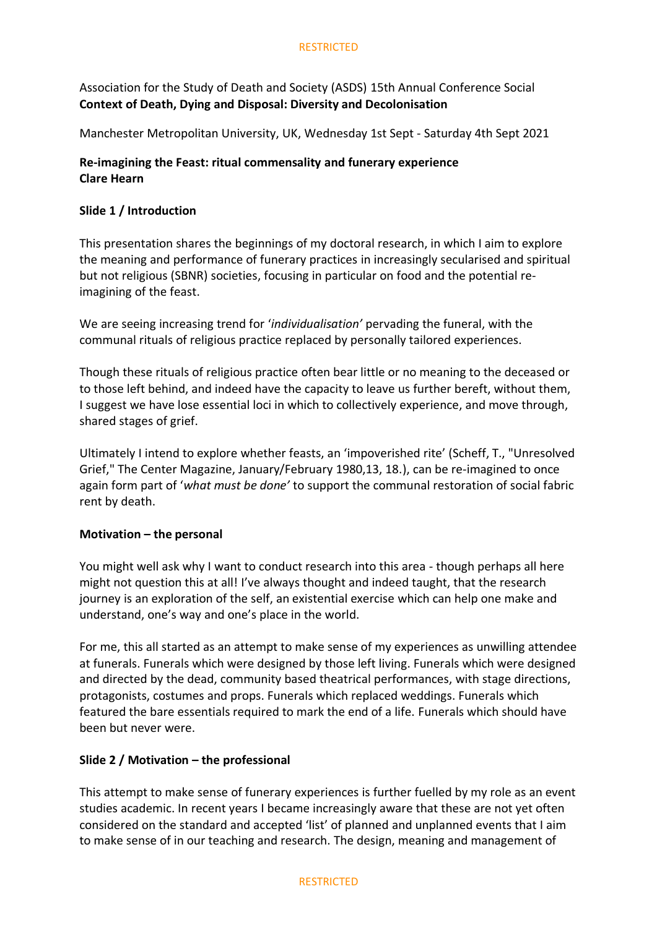Association for the Study of Death and Society (ASDS) 15th Annual Conference Social **Context of Death, Dying and Disposal: Diversity and Decolonisation**

Manchester Metropolitan University, UK, Wednesday 1st Sept - Saturday 4th Sept 2021

# **Re-imagining the Feast: ritual commensality and funerary experience Clare Hearn**

# **Slide 1 / Introduction**

This presentation shares the beginnings of my doctoral research, in which I aim to explore the meaning and performance of funerary practices in increasingly secularised and spiritual but not religious (SBNR) societies, focusing in particular on food and the potential reimagining of the feast.

We are seeing increasing trend for '*individualisation'* pervading the funeral, with the communal rituals of religious practice replaced by personally tailored experiences.

Though these rituals of religious practice often bear little or no meaning to the deceased or to those left behind, and indeed have the capacity to leave us further bereft, without them, I suggest we have lose essential loci in which to collectively experience, and move through, shared stages of grief.

Ultimately I intend to explore whether feasts, an 'impoverished rite' (Scheff, T., "Unresolved Grief," The Center Magazine, January/February 1980,13, 18.), can be re-imagined to once again form part of '*what must be done'* to support the communal restoration of social fabric rent by death.

# **Motivation – the personal**

You might well ask why I want to conduct research into this area - though perhaps all here might not question this at all! I've always thought and indeed taught, that the research journey is an exploration of the self, an existential exercise which can help one make and understand, one's way and one's place in the world.

For me, this all started as an attempt to make sense of my experiences as unwilling attendee at funerals. Funerals which were designed by those left living. Funerals which were designed and directed by the dead, community based theatrical performances, with stage directions, protagonists, costumes and props. Funerals which replaced weddings. Funerals which featured the bare essentials required to mark the end of a life. Funerals which should have been but never were.

# **Slide 2 / Motivation – the professional**

This attempt to make sense of funerary experiences is further fuelled by my role as an event studies academic. In recent years I became increasingly aware that these are not yet often considered on the standard and accepted 'list' of planned and unplanned events that I aim to make sense of in our teaching and research. The design, meaning and management of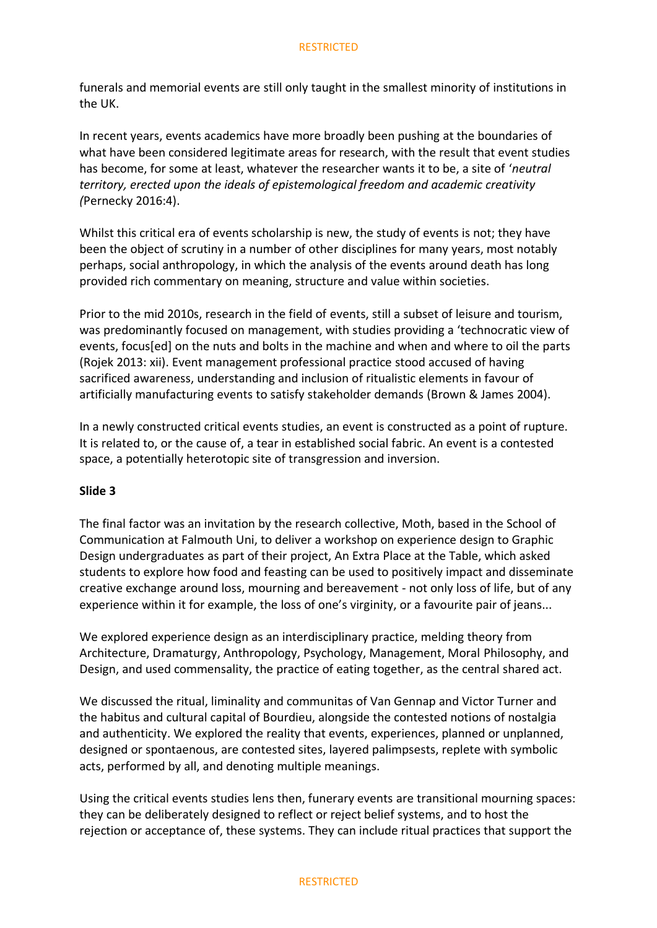funerals and memorial events are still only taught in the smallest minority of institutions in the UK.

In recent years, events academics have more broadly been pushing at the boundaries of what have been considered legitimate areas for research, with the result that event studies has become, for some at least, whatever the researcher wants it to be, a site of '*neutral territory, erected upon the ideals of epistemological freedom and academic creativity (*Pernecky 2016:4).

Whilst this critical era of events scholarship is new, the study of events is not; they have been the object of scrutiny in a number of other disciplines for many years, most notably perhaps, social anthropology, in which the analysis of the events around death has long provided rich commentary on meaning, structure and value within societies.

Prior to the mid 2010s, research in the field of events, still a subset of leisure and tourism, was predominantly focused on management, with studies providing a 'technocratic view of events, focus[ed] on the nuts and bolts in the machine and when and where to oil the parts (Rojek 2013: xii). Event management professional practice stood accused of having sacrificed awareness, understanding and inclusion of ritualistic elements in favour of artificially manufacturing events to satisfy stakeholder demands (Brown & James 2004).

In a newly constructed critical events studies, an event is constructed as a point of rupture. It is related to, or the cause of, a tear in established social fabric. An event is a contested space, a potentially heterotopic site of transgression and inversion.

#### **Slide 3**

The final factor was an invitation by the research collective, Moth, based in the School of Communication at Falmouth Uni, to deliver a workshop on experience design to Graphic Design undergraduates as part of their project, An Extra Place at the Table, which asked students to explore how food and feasting can be used to positively impact and disseminate creative exchange around loss, mourning and bereavement - not only loss of life, but of any experience within it for example, the loss of one's virginity, or a favourite pair of jeans...

We explored experience design as an interdisciplinary practice, melding theory from Architecture, Dramaturgy, Anthropology, Psychology, Management, Moral Philosophy, and Design, and used commensality, the practice of eating together, as the central shared act.

We discussed the ritual, liminality and communitas of Van Gennap and Victor Turner and the habitus and cultural capital of Bourdieu, alongside the contested notions of nostalgia and authenticity. We explored the reality that events, experiences, planned or unplanned, designed or spontaenous, are contested sites, layered palimpsests, replete with symbolic acts, performed by all, and denoting multiple meanings.

Using the critical events studies lens then, funerary events are transitional mourning spaces: they can be deliberately designed to reflect or reject belief systems, and to host the rejection or acceptance of, these systems. They can include ritual practices that support the

#### RESTRICTED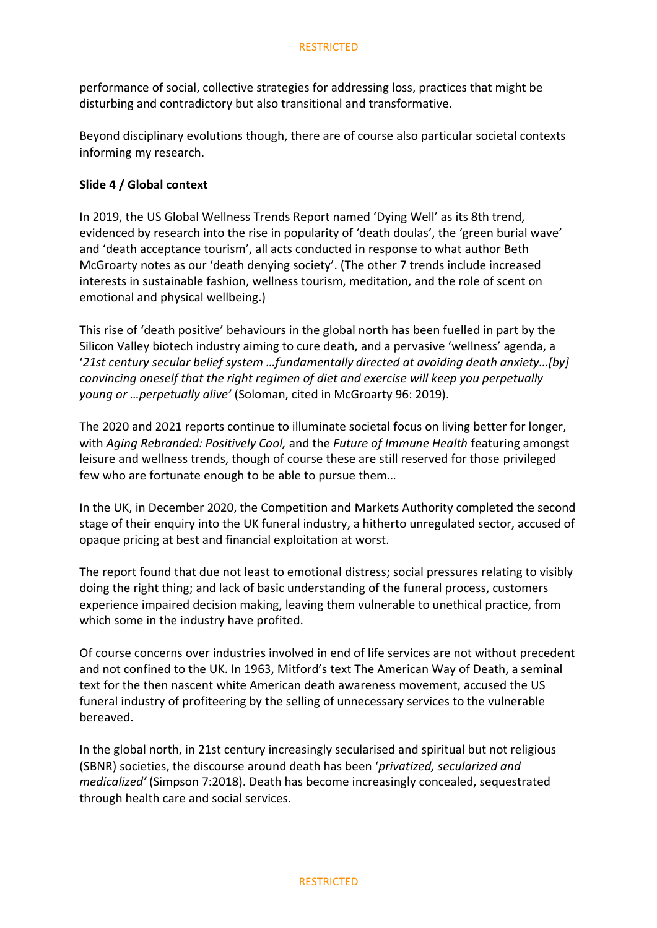performance of social, collective strategies for addressing loss, practices that might be disturbing and contradictory but also transitional and transformative.

Beyond disciplinary evolutions though, there are of course also particular societal contexts informing my research.

### **Slide 4 / Global context**

In 2019, the US Global Wellness Trends Report named 'Dying Well' as its 8th trend, evidenced by research into the rise in popularity of 'death doulas', the 'green burial wave' and 'death acceptance tourism', all acts conducted in response to what author Beth McGroarty notes as our 'death denying society'. (The other 7 trends include increased interests in sustainable fashion, wellness tourism, meditation, and the role of scent on emotional and physical wellbeing.)

This rise of 'death positive' behaviours in the global north has been fuelled in part by the Silicon Valley biotech industry aiming to cure death, and a pervasive 'wellness' agenda, a '*21st century secular belief system …fundamentally directed at avoiding death anxiety…[by] convincing oneself that the right regimen of diet and exercise will keep you perpetually young or …perpetually alive'* (Soloman, cited in McGroarty 96: 2019).

The 2020 and 2021 reports continue to illuminate societal focus on living better for longer, with *Aging Rebranded: Positively Cool,* and the *Future of Immune Health* featuring amongst leisure and wellness trends, though of course these are still reserved for those privileged few who are fortunate enough to be able to pursue them…

In the UK, in December 2020, the Competition and Markets Authority completed the second stage of their enquiry into the UK funeral industry, a hitherto unregulated sector, accused of opaque pricing at best and financial exploitation at worst.

The report found that due not least to emotional distress; social pressures relating to visibly doing the right thing; and lack of basic understanding of the funeral process, customers experience impaired decision making, leaving them vulnerable to unethical practice, from which some in the industry have profited.

Of course concerns over industries involved in end of life services are not without precedent and not confined to the UK. In 1963, Mitford's text The American Way of Death, a seminal text for the then nascent white American death awareness movement, accused the US funeral industry of profiteering by the selling of unnecessary services to the vulnerable bereaved.

In the global north, in 21st century increasingly secularised and spiritual but not religious (SBNR) societies, the discourse around death has been '*privatized, secularized and medicalized'* (Simpson 7:2018). Death has become increasingly concealed, sequestrated through health care and social services.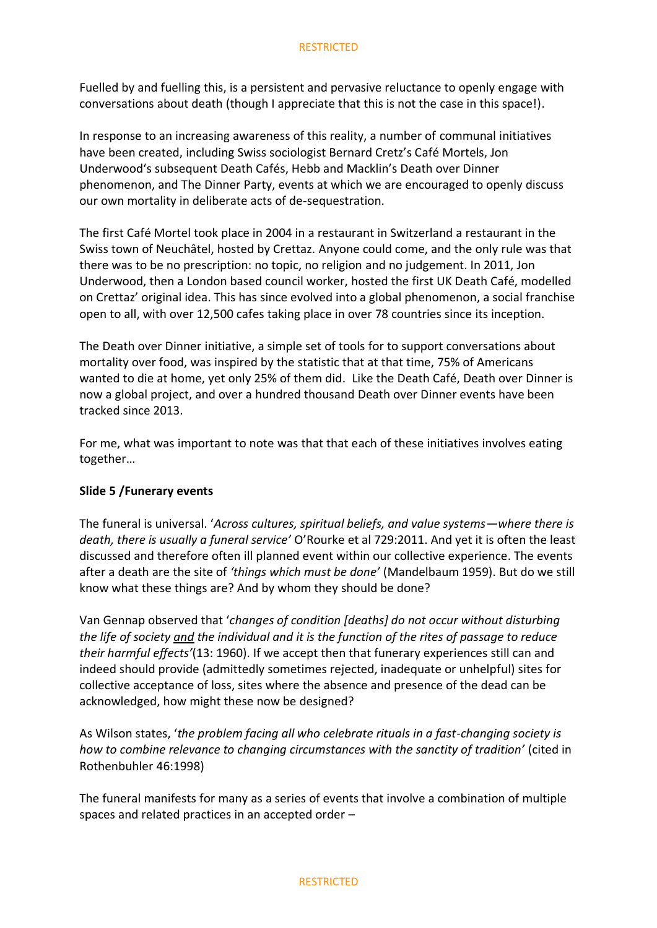Fuelled by and fuelling this, is a persistent and pervasive reluctance to openly engage with conversations about death (though I appreciate that this is not the case in this space!).

In response to an increasing awareness of this reality, a number of communal initiatives have been created, including Swiss sociologist Bernard Cretz's Café Mortels, Jon Underwood's subsequent Death Cafés, Hebb and Macklin's Death over Dinner phenomenon, and The Dinner Party, events at which we are encouraged to openly discuss our own mortality in deliberate acts of de-sequestration.

The first Café Mortel took place in 2004 in a restaurant in Switzerland a restaurant in the Swiss town of Neuchâtel, hosted by Crettaz. Anyone could come, and the only rule was that there was to be no prescription: no topic, no religion and no judgement. In 2011, Jon Underwood, then a London based council worker, hosted the first UK Death Café, modelled on Crettaz' original idea. This has since evolved into a global phenomenon, a social franchise open to all, with over 12,500 cafes taking place in over 78 countries since its inception.

The Death over Dinner initiative, a simple set of tools for to support conversations about mortality over food, was inspired by the statistic that at that time, 75% of Americans wanted to die at home, yet only 25% of them did. Like the Death Café, Death over Dinner is now a global project, and over a hundred thousand Death over Dinner events have been tracked since 2013.

For me, what was important to note was that that each of these initiatives involves eating together…

# **Slide 5 /Funerary events**

The funeral is universal. '*Across cultures, spiritual beliefs, and value systems—where there is death, there is usually a funeral service'* O'Rourke et al 729:2011. And yet it is often the least discussed and therefore often ill planned event within our collective experience. The events after a death are the site of *'things which must be done'* (Mandelbaum 1959). But do we still know what these things are? And by whom they should be done?

Van Gennap observed that '*changes of condition [deaths] do not occur without disturbing the life of society and the individual and it is the function of the rites of passage to reduce their harmful effects'*(13: 1960). If we accept then that funerary experiences still can and indeed should provide (admittedly sometimes rejected, inadequate or unhelpful) sites for collective acceptance of loss, sites where the absence and presence of the dead can be acknowledged, how might these now be designed?

As Wilson states, '*the problem facing all who celebrate rituals in a fast-changing society is how to combine relevance to changing circumstances with the sanctity of tradition'* (cited in Rothenbuhler 46:1998)

The funeral manifests for many as a series of events that involve a combination of multiple spaces and related practices in an accepted order –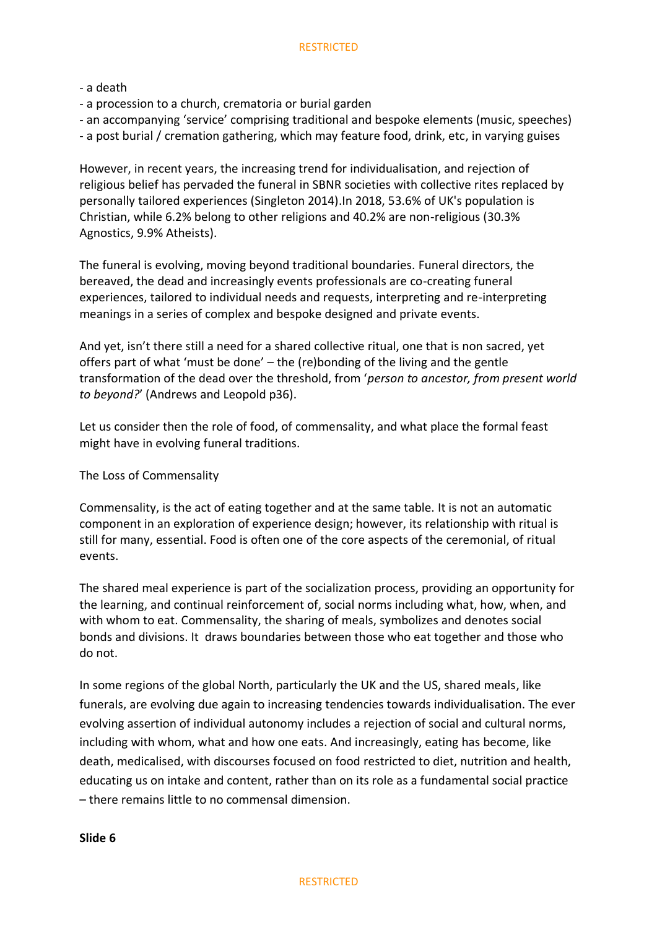#### - a death

- a procession to a church, crematoria or burial garden
- an accompanying 'service' comprising traditional and bespoke elements (music, speeches)

- a post burial / cremation gathering, which may feature food, drink, etc, in varying guises

However, in recent years, the increasing trend for individualisation, and rejection of religious belief has pervaded the funeral in SBNR societies with collective rites replaced by personally tailored experiences (Singleton 2014).In 2018, 53.6% of UK's population is Christian, while 6.2% belong to other religions and 40.2% are non-religious (30.3% Agnostics, 9.9% Atheists).

The funeral is evolving, moving beyond traditional boundaries. Funeral directors, the bereaved, the dead and increasingly events professionals are co-creating funeral experiences, tailored to individual needs and requests, interpreting and re-interpreting meanings in a series of complex and bespoke designed and private events.

And yet, isn't there still a need for a shared collective ritual, one that is non sacred, yet offers part of what 'must be done' – the (re)bonding of the living and the gentle transformation of the dead over the threshold, from '*person to ancestor, from present world to beyond?*' (Andrews and Leopold p36).

Let us consider then the role of food, of commensality, and what place the formal feast might have in evolving funeral traditions.

# The Loss of Commensality

Commensality, is the act of eating together and at the same table. It is not an automatic component in an exploration of experience design; however, its relationship with ritual is still for many, essential. Food is often one of the core aspects of the ceremonial, of ritual events.

The shared meal experience is part of the socialization process, providing an opportunity for the learning, and continual reinforcement of, social norms including what, how, when, and with whom to eat. Commensality, the sharing of meals, symbolizes and denotes social bonds and divisions. It draws boundaries between those who eat together and those who do not.

In some regions of the global North, particularly the UK and the US, shared meals, like funerals, are evolving due again to increasing tendencies towards individualisation. The ever evolving assertion of individual autonomy includes a rejection of social and cultural norms, including with whom, what and how one eats. And increasingly, eating has become, like death, medicalised, with discourses focused on food restricted to diet, nutrition and health, educating us on intake and content, rather than on its role as a fundamental social practice – there remains little to no commensal dimension.

#### **Slide 6**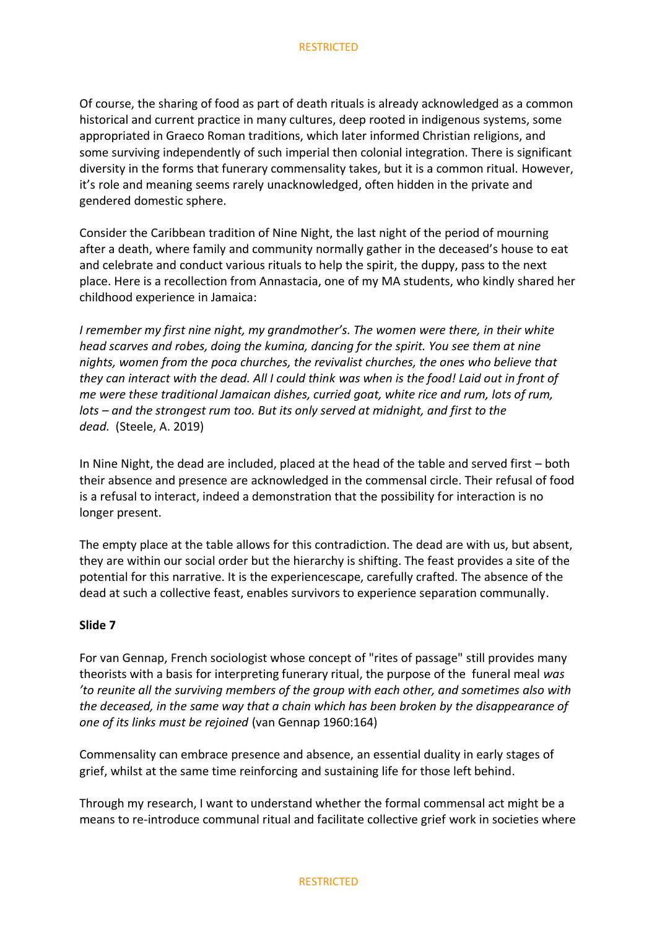Of course, the sharing of food as part of death rituals is already acknowledged as a common historical and current practice in many cultures, deep rooted in indigenous systems, some appropriated in Graeco Roman traditions, which later informed Christian religions, and some surviving independently of such imperial then colonial integration. There is significant diversity in the forms that funerary commensality takes, but it is a common ritual. However, it's role and meaning seems rarely unacknowledged, often hidden in the private and gendered domestic sphere.

Consider the Caribbean tradition of Nine Night, the last night of the period of mourning after a death, where family and community normally gather in the deceased's house to eat and celebrate and conduct various rituals to help the spirit, the duppy, pass to the next place. Here is a recollection from Annastacia, one of my MA students, who kindly shared her childhood experience in Jamaica:

*I remember my first nine night, my grandmother's. The women were there, in their white head scarves and robes, doing the kumina, dancing for the spirit. You see them at nine nights, women from the poca churches, the revivalist churches, the ones who believe that they can interact with the dead. All I could think was when is the food! Laid out in front of me were these traditional Jamaican dishes, curried goat, white rice and rum, lots of rum, lots – and the strongest rum too. But its only served at midnight, and first to the dead.* (Steele, A. 2019)

In Nine Night, the dead are included, placed at the head of the table and served first – both their absence and presence are acknowledged in the commensal circle. Their refusal of food is a refusal to interact, indeed a demonstration that the possibility for interaction is no longer present.

The empty place at the table allows for this contradiction. The dead are with us, but absent, they are within our social order but the hierarchy is shifting. The feast provides a site of the potential for this narrative. It is the experiencescape, carefully crafted. The absence of the dead at such a collective feast, enables survivors to experience separation communally.

#### **Slide 7**

For van Gennap, French sociologist whose concept of "rites of passage" still provides many theorists with a basis for interpreting funerary ritual, the purpose of the funeral meal *was 'to reunite all the surviving members of the group with each other, and sometimes also with the deceased, in the same way that a chain which has been broken by the disappearance of one of its links must be rejoined* (van Gennap 1960:164)

Commensality can embrace presence and absence, an essential duality in early stages of grief, whilst at the same time reinforcing and sustaining life for those left behind.

Through my research, I want to understand whether the formal commensal act might be a means to re-introduce communal ritual and facilitate collective grief work in societies where